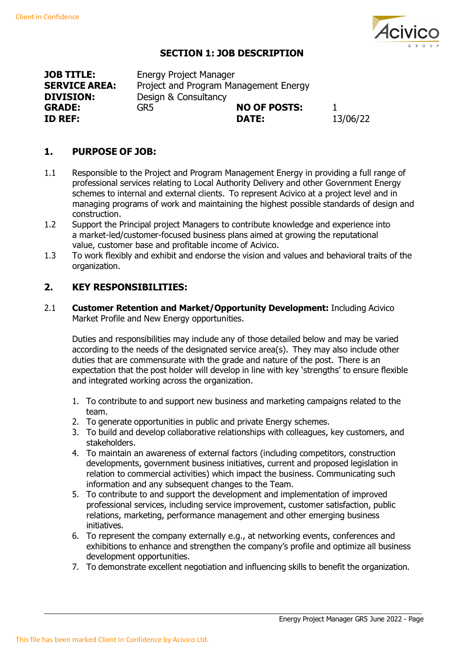

## **SECTION 1: JOB DESCRIPTION**

**JOB TITLE: SERVICE AREA: DIVISION: ID REF: DATE:** 13/06/22

Energy Project Manager Project and Program Management Energy Design & Consultancy<br>GR5 **NO OF POSTS:** 1<br>**DATE:** 13/06/22

## **1. PURPOSE OF JOB:**

- 1.1 Responsible to the Project and Program Management Energy in providing a full range of professional services relating to Local Authority Delivery and other Government Energy schemes to internal and external clients. To represent Acivico at a project level and in managing programs of work and maintaining the highest possible standards of design and construction.
- 1.2 Support the Principal project Managers to contribute knowledge and experience into a market-led/customer-focused business plans aimed at growing the reputational value, customer base and profitable income of Acivico.
- 1.3 To work flexibly and exhibit and endorse the vision and values and behavioral traits of the organization.

## **2. KEY RESPONSIBILITIES:**

2.1 **Customer Retention and Market/Opportunity Development:** Including Acivico Market Profile and New Energy opportunities.

Duties and responsibilities may include any of those detailed below and may be varied according to the needs of the designated service area(s). They may also include other duties that are commensurate with the grade and nature of the post. There is an expectation that the post holder will develop in line with key 'strengths' to ensure flexible and integrated working across the organization.

- 1. To contribute to and support new business and marketing campaigns related to the team.
- 2. To generate opportunities in public and private Energy schemes.
- 3. To build and develop collaborative relationships with colleagues, key customers, and stakeholders.
- 4. To maintain an awareness of external factors (including competitors, construction developments, government business initiatives, current and proposed legislation in relation to commercial activities) which impact the business. Communicating such information and any subsequent changes to the Team.
- 5. To contribute to and support the development and implementation of improved professional services, including service improvement, customer satisfaction, public relations, marketing, performance management and other emerging business initiatives.
- 6. To represent the company externally e.g., at networking events, conferences and exhibitions to enhance and strengthen the company's profile and optimize all business development opportunities.
- 7. To demonstrate excellent negotiation and influencing skills to benefit the organization.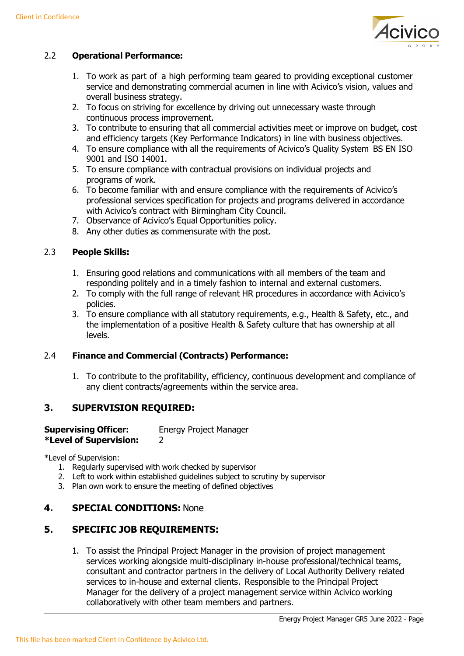

### 2.2 **Operational Performance:**

- 1. To work as part of a high performing team geared to providing exceptional customer service and demonstrating commercial acumen in line with Acivico's vision, values and overall business strategy.
- 2. To focus on striving for excellence by driving out unnecessary waste through continuous process improvement.
- 3. To contribute to ensuring that all commercial activities meet or improve on budget, cost and efficiency targets (Key Performance Indicators) in line with business objectives.
- 4. To ensure compliance with all the requirements of Acivico's Quality System BS EN ISO 9001 and ISO 14001.
- 5. To ensure compliance with contractual provisions on individual projects and programs of work.
- 6. To become familiar with and ensure compliance with the requirements of Acivico's professional services specification for projects and programs delivered in accordance with Acivico's contract with Birmingham City Council.
- 7. Observance of Acivico's Equal Opportunities policy.
- 8. Any other duties as commensurate with the post.

### 2.3 **People Skills:**

- 1. Ensuring good relations and communications with all members of the team and responding politely and in a timely fashion to internal and external customers.
- 2. To comply with the full range of relevant HR procedures in accordance with Acivico's policies.
- 3. To ensure compliance with all statutory requirements, e.g., Health & Safety, etc., and the implementation of a positive Health & Safety culture that has ownership at all levels.

### 2.4 **Finance and Commercial (Contracts) Performance:**

1. To contribute to the profitability, efficiency, continuous development and compliance of any client contracts/agreements within the service area.

## **3. SUPERVISION REQUIRED:**

# **Supervising Officer:** Energy Project Manager

# **\*Level of Supervision:** 2

\*Level of Supervision:

- 1. Regularly supervised with work checked by supervisor
- 2. Left to work within established guidelines subject to scrutiny by supervisor
- 3. Plan own work to ensure the meeting of defined objectives

## **4. SPECIAL CONDITIONS:** None

### **5. SPECIFIC JOB REQUIREMENTS:**

1. To assist the Principal Project Manager in the provision of project management services working alongside multi-disciplinary in-house professional/technical teams, consultant and contractor partners in the delivery of Local Authority Delivery related services to in-house and external clients. Responsible to the Principal Project Manager for the delivery of a project management service within Acivico working collaboratively with other team members and partners.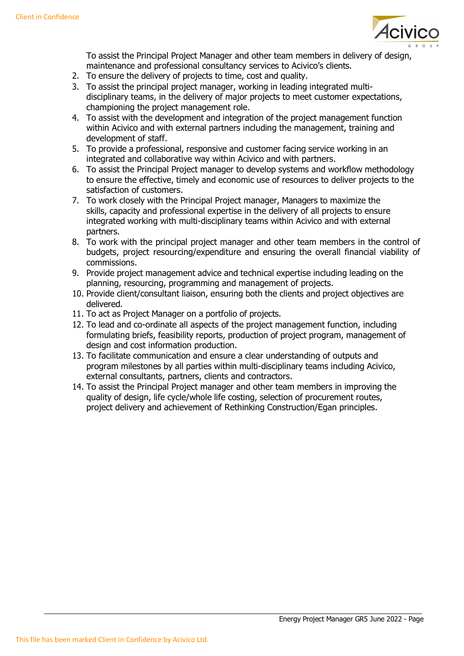

To assist the Principal Project Manager and other team members in delivery of design, maintenance and professional consultancy services to Acivico's clients.

- 2. To ensure the delivery of projects to time, cost and quality.
- 3. To assist the principal project manager, working in leading integrated multidisciplinary teams, in the delivery of major projects to meet customer expectations, championing the project management role.
- 4. To assist with the development and integration of the project management function within Acivico and with external partners including the management, training and development of staff.
- 5. To provide a professional, responsive and customer facing service working in an integrated and collaborative way within Acivico and with partners.
- 6. To assist the Principal Project manager to develop systems and workflow methodology to ensure the effective, timely and economic use of resources to deliver projects to the satisfaction of customers.
- 7. To work closely with the Principal Project manager, Managers to maximize the skills, capacity and professional expertise in the delivery of all projects to ensure integrated working with multi-disciplinary teams within Acivico and with external partners.
- 8. To work with the principal project manager and other team members in the control of budgets, project resourcing/expenditure and ensuring the overall financial viability of commissions.
- 9. Provide project management advice and technical expertise including leading on the planning, resourcing, programming and management of projects.
- 10. Provide client/consultant liaison, ensuring both the clients and project objectives are delivered.
- 11. To act as Project Manager on a portfolio of projects.
- 12. To lead and co-ordinate all aspects of the project management function, including formulating briefs, feasibility reports, production of project program, management of design and cost information production.
- 13. To facilitate communication and ensure a clear understanding of outputs and program milestones by all parties within multi-disciplinary teams including Acivico, external consultants, partners, clients and contractors.
- 14. To assist the Principal Project manager and other team members in improving the quality of design, life cycle/whole life costing, selection of procurement routes, project delivery and achievement of Rethinking Construction/Egan principles.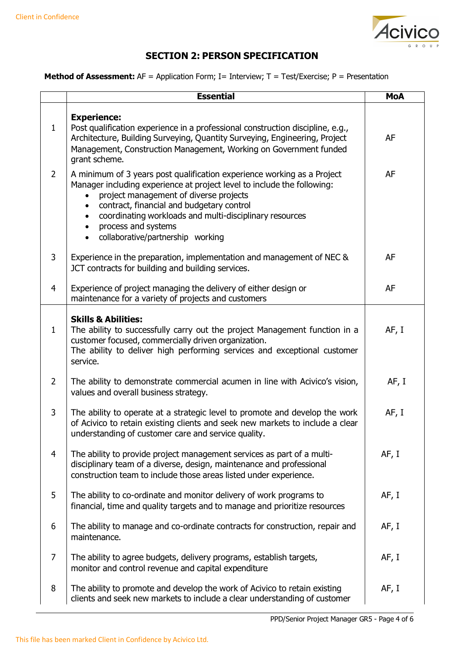

# **SECTION 2: PERSON SPECIFICATION**

#### **Method of Assessment:** AF = Application Form; I= Interview; T = Test/Exercise; P = Presentation

|                | <b>Essential</b>                                                                                                                                                                                                                                                                                                                                                              | <b>MoA</b> |
|----------------|-------------------------------------------------------------------------------------------------------------------------------------------------------------------------------------------------------------------------------------------------------------------------------------------------------------------------------------------------------------------------------|------------|
| $\mathbf{1}$   | <b>Experience:</b><br>Post qualification experience in a professional construction discipline, e.g.,<br>Architecture, Building Surveying, Quantity Surveying, Engineering, Project<br>Management, Construction Management, Working on Government funded<br>grant scheme.                                                                                                      | <b>AF</b>  |
| $\overline{2}$ | A minimum of 3 years post qualification experience working as a Project<br>Manager including experience at project level to include the following:<br>project management of diverse projects<br>contract, financial and budgetary control<br>coordinating workloads and multi-disciplinary resources<br>process and systems<br>collaborative/partnership working<br>$\bullet$ | <b>AF</b>  |
| 3              | Experience in the preparation, implementation and management of NEC &<br>JCT contracts for building and building services.                                                                                                                                                                                                                                                    | AF         |
| $\overline{4}$ | Experience of project managing the delivery of either design or<br>maintenance for a variety of projects and customers                                                                                                                                                                                                                                                        | <b>AF</b>  |
| $\mathbf{1}$   | <b>Skills &amp; Abilities:</b><br>The ability to successfully carry out the project Management function in a<br>customer focused, commercially driven organization.<br>The ability to deliver high performing services and exceptional customer<br>service.                                                                                                                   | AF, I      |
| $\overline{2}$ | The ability to demonstrate commercial acumen in line with Acivico's vision,<br>values and overall business strategy.                                                                                                                                                                                                                                                          | AF, I      |
| 3              | The ability to operate at a strategic level to promote and develop the work<br>of Acivico to retain existing clients and seek new markets to include a clear<br>understanding of customer care and service quality.                                                                                                                                                           | AF, I      |
| $\overline{4}$ | The ability to provide project management services as part of a multi-<br>disciplinary team of a diverse, design, maintenance and professional<br>construction team to include those areas listed under experience.                                                                                                                                                           | AF, I      |
| 5              | The ability to co-ordinate and monitor delivery of work programs to<br>financial, time and quality targets and to manage and prioritize resources                                                                                                                                                                                                                             | AF, I      |
| 6              | The ability to manage and co-ordinate contracts for construction, repair and<br>maintenance.                                                                                                                                                                                                                                                                                  | AF, I      |
| $\overline{7}$ | The ability to agree budgets, delivery programs, establish targets,<br>monitor and control revenue and capital expenditure                                                                                                                                                                                                                                                    | AF, I      |
| 8              | The ability to promote and develop the work of Acivico to retain existing<br>clients and seek new markets to include a clear understanding of customer                                                                                                                                                                                                                        | AF, I      |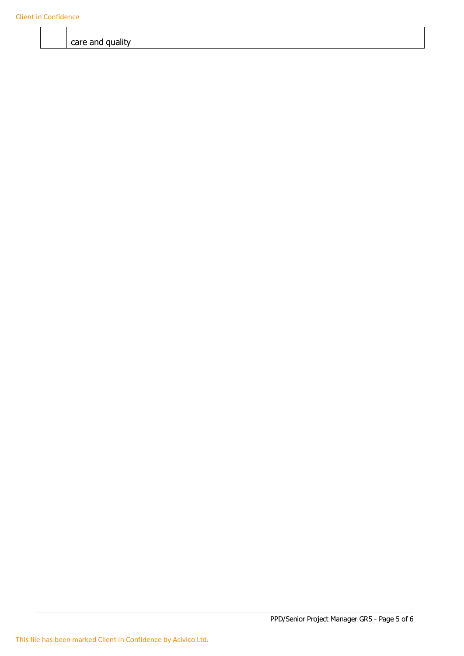care and quality